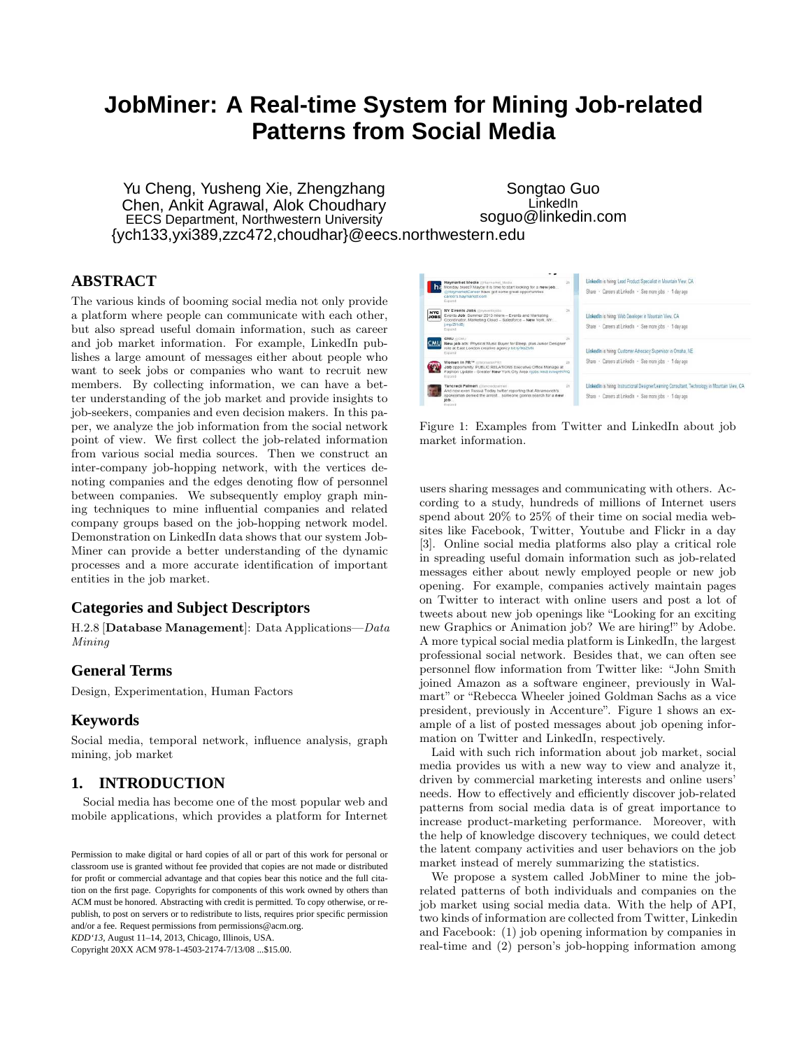# **JobMiner: A Real-time System for Mining Job-related Patterns from Social Media**

Yu Cheng, Yusheng Xie, Zhengzhang Chen, Ankit Agrawal, Alok Choudhary EECS Department, Northwestern University {ych133,yxi389,zzc472,choudhar}@eecs.northwestern.edu Songtao Guo soguo@linkedin.com

## **ABSTRACT**

The various kinds of booming social media not only provide a platform where people can communicate with each other, but also spread useful domain information, such as career and job market information. For example, LinkedIn publishes a large amount of messages either about people who want to seek jobs or companies who want to recruit new members. By collecting information, we can have a better understanding of the job market and provide insights to job-seekers, companies and even decision makers. In this paper, we analyze the job information from the social network point of view. We first collect the job-related information from various social media sources. Then we construct an inter-company job-hopping network, with the vertices denoting companies and the edges denoting flow of personnel between companies. We subsequently employ graph mining techniques to mine influential companies and related company groups based on the job-hopping network model. Demonstration on LinkedIn data shows that our system Job-Miner can provide a better understanding of the dynamic processes and a more accurate identification of important entities in the job market.

## **Categories and Subject Descriptors**

H.2.8 [Database Management]: Data Applications—Data Mining

#### **General Terms**

Design, Experimentation, Human Factors

#### **Keywords**

Social media, temporal network, influence analysis, graph mining, job market

## **1. INTRODUCTION**

Social media has become one of the most popular web and mobile applications, which provides a platform for Internet

*KDD'13,* August 11–14, 2013, Chicago, Illinois, USA.

Copyright 20XX ACM 978-1-4503-2174-7/13/08 ...\$15.00.



LinkedIn

Figure 1: Examples from Twitter and LinkedIn about job market information.

users sharing messages and communicating with others. According to a study, hundreds of millions of Internet users spend about 20% to 25% of their time on social media websites like Facebook, Twitter, Youtube and Flickr in a day [3]. Online social media platforms also play a critical role in spreading useful domain information such as job-related messages either about newly employed people or new job opening. For example, companies actively maintain pages on Twitter to interact with online users and post a lot of tweets about new job openings like "Looking for an exciting new Graphics or Animation job? We are hiring!" by Adobe. A more typical social media platform is LinkedIn, the largest professional social network. Besides that, we can often see personnel flow information from Twitter like: "John Smith joined Amazon as a software engineer, previously in Walmart" or "Rebecca Wheeler joined Goldman Sachs as a vice president, previously in Accenture". Figure 1 shows an example of a list of posted messages about job opening information on Twitter and LinkedIn, respectively.

Laid with such rich information about job market, social media provides us with a new way to view and analyze it, driven by commercial marketing interests and online users' needs. How to effectively and efficiently discover job-related patterns from social media data is of great importance to increase product-marketing performance. Moreover, with the help of knowledge discovery techniques, we could detect the latent company activities and user behaviors on the job market instead of merely summarizing the statistics.

We propose a system called JobMiner to mine the jobrelated patterns of both individuals and companies on the job market using social media data. With the help of API, two kinds of information are collected from Twitter, Linkedin and Facebook: (1) job opening information by companies in real-time and (2) person's job-hopping information among

Permission to make digital or hard copies of all or part of this work for personal or classroom use is granted without fee provided that copies are not made or distributed for profit or commercial advantage and that copies bear this notice and the full citation on the first page. Copyrights for components of this work owned by others than ACM must be honored. Abstracting with credit is permitted. To copy otherwise, or republish, to post on servers or to redistribute to lists, requires prior specific permission and/or a fee. Request permissions from permissions@acm.org.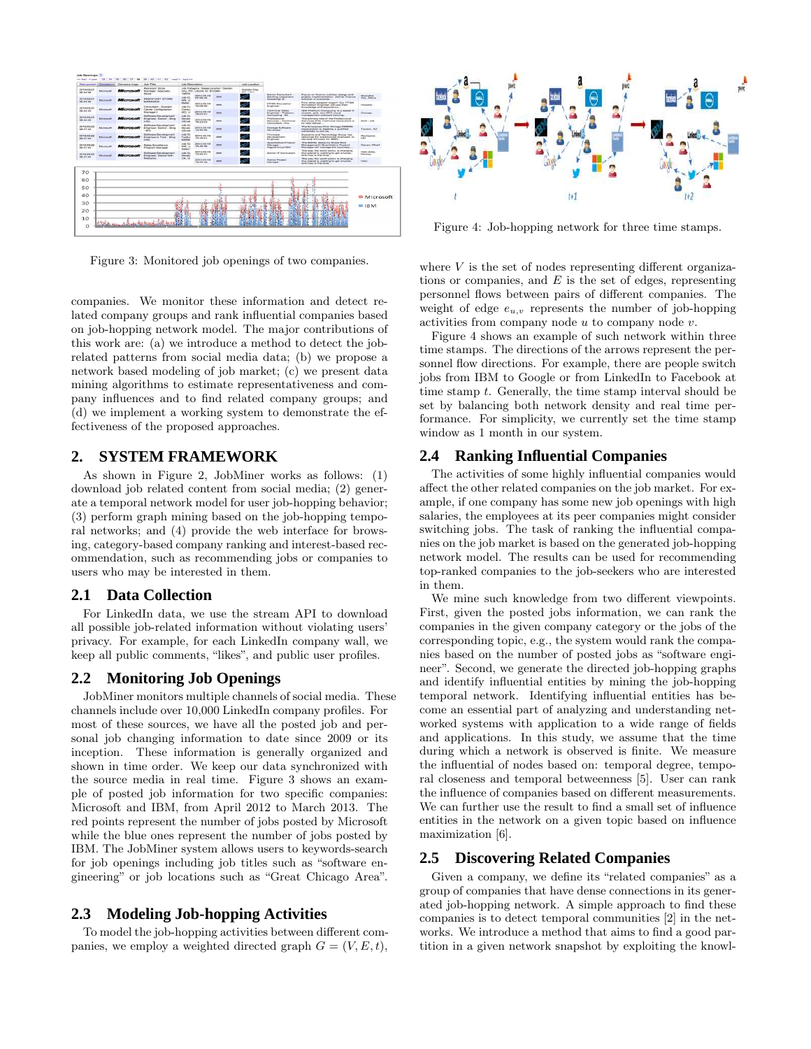

Figure 3: Monitored job openings of two companies.

companies. We monitor these information and detect related company groups and rank influential companies based on job-hopping network model. The major contributions of this work are: (a) we introduce a method to detect the jobrelated patterns from social media data; (b) we propose a network based modeling of job market; (c) we present data mining algorithms to estimate representativeness and company influences and to find related company groups; and (d) we implement a working system to demonstrate the effectiveness of the proposed approaches.

### **2. SYSTEM FRAMEWORK**

As shown in Figure 2, JobMiner works as follows: (1) download job related content from social media; (2) generate a temporal network model for user job-hopping behavior; (3) perform graph mining based on the job-hopping temporal networks; and (4) provide the web interface for browsing, category-based company ranking and interest-based recommendation, such as recommending jobs or companies to users who may be interested in them.

#### **2.1 Data Collection**

For LinkedIn data, we use the stream API to download all possible job-related information without violating users' privacy. For example, for each LinkedIn company wall, we keep all public comments, "likes", and public user profiles.

## **2.2 Monitoring Job Openings**

JobMiner monitors multiple channels of social media. These channels include over 10,000 LinkedIn company profiles. For most of these sources, we have all the posted job and personal job changing information to date since 2009 or its inception. These information is generally organized and shown in time order. We keep our data synchronized with the source media in real time. Figure 3 shows an example of posted job information for two specific companies: Microsoft and IBM, from April 2012 to March 2013. The red points represent the number of jobs posted by Microsoft while the blue ones represent the number of jobs posted by IBM. The JobMiner system allows users to keywords-search for job openings including job titles such as "software engineering" or job locations such as "Great Chicago Area".

#### **2.3 Modeling Job-hopping Activities**

To model the job-hopping activities between different companies, we employ a weighted directed graph  $G = (V, E, t)$ ,



Figure 4: Job-hopping network for three time stamps.

where  $V$  is the set of nodes representing different organizations or companies, and  $E$  is the set of edges, representing personnel flows between pairs of different companies. The weight of edge  $e_{u,v}$  represents the number of job-hopping activities from company node  $u$  to company node  $v$ .

Figure 4 shows an example of such network within three time stamps. The directions of the arrows represent the personnel flow directions. For example, there are people switch jobs from IBM to Google or from LinkedIn to Facebook at time stamp  $t$ . Generally, the time stamp interval should be set by balancing both network density and real time performance. For simplicity, we currently set the time stamp window as 1 month in our system.

#### **2.4 Ranking Influential Companies**

The activities of some highly influential companies would affect the other related companies on the job market. For example, if one company has some new job openings with high salaries, the employees at its peer companies might consider switching jobs. The task of ranking the influential companies on the job market is based on the generated job-hopping network model. The results can be used for recommending top-ranked companies to the job-seekers who are interested in them.

We mine such knowledge from two different viewpoints. First, given the posted jobs information, we can rank the companies in the given company category or the jobs of the corresponding topic, e.g., the system would rank the companies based on the number of posted jobs as "software engineer". Second, we generate the directed job-hopping graphs and identify influential entities by mining the job-hopping temporal network. Identifying influential entities has become an essential part of analyzing and understanding networked systems with application to a wide range of fields and applications. In this study, we assume that the time during which a network is observed is finite. We measure the influential of nodes based on: temporal degree, temporal closeness and temporal betweenness [5]. User can rank the influence of companies based on different measurements. We can further use the result to find a small set of influence entities in the network on a given topic based on influence maximization [6].

#### **2.5 Discovering Related Companies**

Given a company, we define its "related companies" as a group of companies that have dense connections in its generated job-hopping network. A simple approach to find these companies is to detect temporal communities [2] in the networks. We introduce a method that aims to find a good partition in a given network snapshot by exploiting the knowl-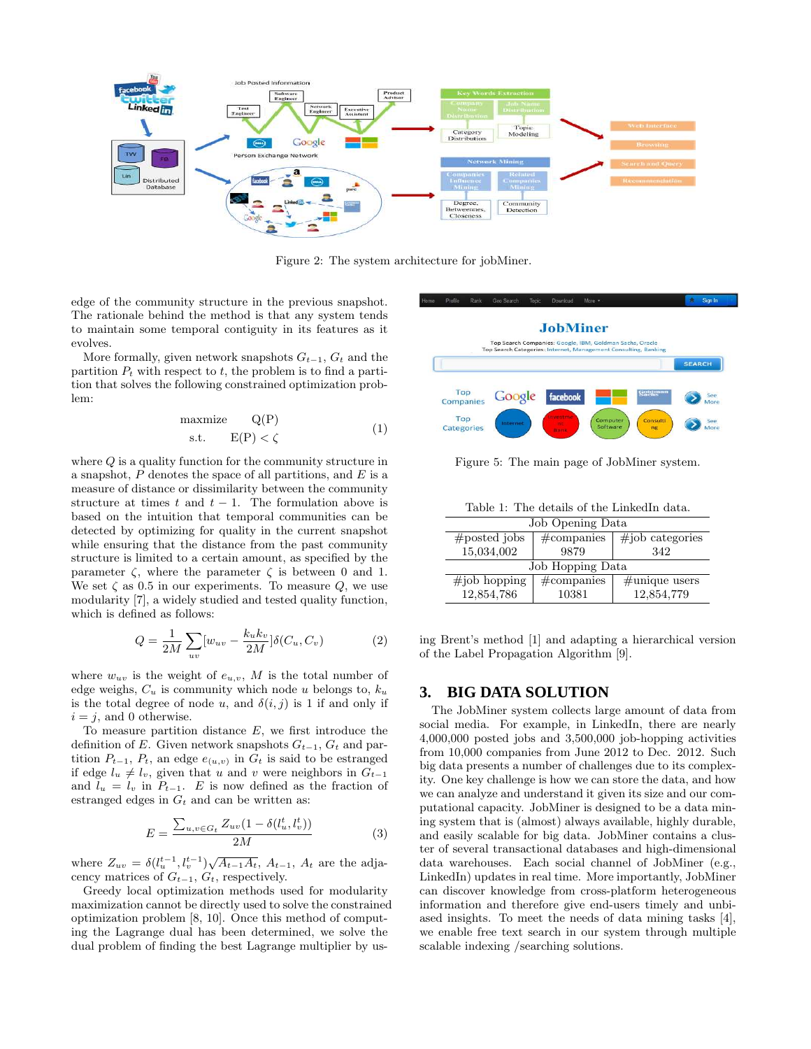

Figure 2: The system architecture for jobMiner.

edge of the community structure in the previous snapshot. The rationale behind the method is that any system tends to maintain some temporal contiguity in its features as it evolves.

More formally, given network snapshots  $G_{t-1}$ ,  $G_t$  and the partition  $P_t$  with respect to t, the problem is to find a partition that solves the following constrained optimization problem:

$$
\begin{array}{ll}\text{maxmize} & \mathbf{Q}(\mathbf{P})\\ \text{s.t.} & \mathbf{E}(\mathbf{P}) < \zeta \end{array} \tag{1}
$$

where Q is a quality function for the community structure in a snapshot,  $P$  denotes the space of all partitions, and  $E$  is a measure of distance or dissimilarity between the community structure at times t and  $t - 1$ . The formulation above is based on the intuition that temporal communities can be detected by optimizing for quality in the current snapshot while ensuring that the distance from the past community structure is limited to a certain amount, as specified by the parameter  $\zeta$ , where the parameter  $\zeta$  is between 0 and 1. We set  $\zeta$  as 0.5 in our experiments. To measure  $Q$ , we use modularity [7], a widely studied and tested quality function, which is defined as follows:

$$
Q = \frac{1}{2M} \sum_{uv} [w_{uv} - \frac{k_u k_v}{2M}] \delta(C_u, C_v)
$$
 (2)

where  $w_{uv}$  is the weight of  $e_{u,v}$ , M is the total number of edge weighs,  $C_u$  is community which node u belongs to,  $k_u$ is the total degree of node u, and  $\delta(i, j)$  is 1 if and only if  $i = j$ , and 0 otherwise.

To measure partition distance  $E$ , we first introduce the definition of E. Given network snapshots  $G_{t-1}$ ,  $G_t$  and partition  $P_{t-1}$ ,  $P_t$ , an edge  $e_{(u,v)}$  in  $G_t$  is said to be estranged if edge  $l_u \neq l_v$ , given that u and v were neighbors in  $G_{t-1}$ and  $l_u = l_v$  in  $P_{t-1}$ . E is now defined as the fraction of estranged edges in  $G_t$  and can be written as:

$$
E = \frac{\sum_{u,v \in G_t} Z_{uv} (1 - \delta(l_u^t, l_v^t))}{2M}
$$
 (3)

where  $Z_{uv} = \delta(l_u^{t-1}, l_v^{t-1}) \sqrt{A_{t-1}A_t}$ ,  $A_{t-1}$ ,  $A_t$  are the adjacency matrices of  $G_{t-1}$ ,  $G_t$ , respectively.

Greedy local optimization methods used for modularity maximization cannot be directly used to solve the constrained optimization problem [8, 10]. Once this method of computing the Lagrange dual has been determined, we solve the dual problem of finding the best Lagrange multiplier by us-



Figure 5: The main page of JobMiner system.

| Table 1: The details of the LinkedIn data. |  |
|--------------------------------------------|--|
|--------------------------------------------|--|

| Job Opening Data |                        |                     |  |
|------------------|------------------------|---------------------|--|
| $\#$ posted jobs | # <sub>comparies</sub> | $\#$ job categories |  |
| 15,034,002       | 9879                   | 342                 |  |
| Job Hopping Data |                        |                     |  |
| $\#$ job hopping | # <sub>comparies</sub> | $\#$ unique users   |  |
| 12,854,786       | 10381                  | 12,854,779          |  |

ing Brent's method [1] and adapting a hierarchical version of the Label Propagation Algorithm [9].

### **3. BIG DATA SOLUTION**

The JobMiner system collects large amount of data from social media. For example, in LinkedIn, there are nearly 4,000,000 posted jobs and 3,500,000 job-hopping activities from 10,000 companies from June 2012 to Dec. 2012. Such big data presents a number of challenges due to its complexity. One key challenge is how we can store the data, and how we can analyze and understand it given its size and our computational capacity. JobMiner is designed to be a data mining system that is (almost) always available, highly durable, and easily scalable for big data. JobMiner contains a cluster of several transactional databases and high-dimensional data warehouses. Each social channel of JobMiner (e.g., LinkedIn) updates in real time. More importantly, JobMiner can discover knowledge from cross-platform heterogeneous information and therefore give end-users timely and unbiased insights. To meet the needs of data mining tasks [4], we enable free text search in our system through multiple scalable indexing /searching solutions.